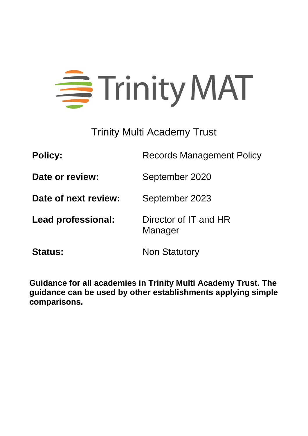# = Trinity MAT

Trinity Multi Academy Trust

**Policy:** Records Management Policy **Date or review:** September 2020 **Date of next review:** September 2023 **Lead professional:** Director of IT and HR Manager **Status:** Non Statutory

**Guidance for all academies in Trinity Multi Academy Trust. The guidance can be used by other establishments applying simple comparisons.**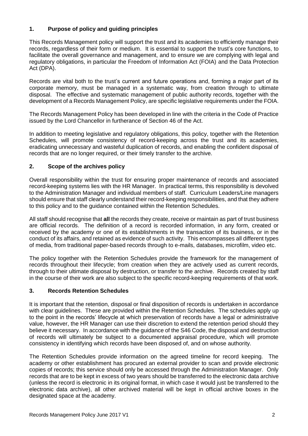# **1. Purpose of policy and guiding principles**

This Records Management policy will support the trust and its academies to efficiently manage their records, regardless of their form or medium. It is essential to support the trust's core functions, to facilitate the overall governance and management, and to ensure we are complying with legal and regulatory obligations, in particular the Freedom of Information Act (FOIA) and the Data Protection Act (DPA).

Records are vital both to the trust's current and future operations and, forming a major part of its corporate memory, must be managed in a systematic way, from creation through to ultimate disposal. The effective and systematic management of public authority records, together with the development of a Records Management Policy, are specific legislative requirements under the FOIA.

The Records Management Policy has been developed in line with the criteria in the Code of Practice issued by the Lord Chancellor in furtherance of Section 46 of the Act.

In addition to meeting legislative and regulatory obligations, this policy, together with the Retention Schedules, will promote consistency of record-keeping across the trust and its academies, eradicating unnecessary and wasteful duplication of records, and enabling the confident disposal of records that are no longer required, or their timely transfer to the archive.

# **2. Scope of the archives policy**

Overall responsibility within the trust for ensuring proper maintenance of records and associated record-keeping systems lies with the HR Manager. In practical terms, this responsibility is devolved to the Administration Manager and individual members of staff. Curriculum Leaders/Line managers should ensure that staff clearly understand their record-keeping responsibilities, and that they adhere to this policy and to the guidance contained within the Retention Schedules.

All staff should recognise that **all** the records they create, receive or maintain as part of trust business are official records. The definition of a record is recorded information, in any form, created or received by the academy or one of its establishments in the transaction of its business, or in the conduct of its affairs, and retained as evidence of such activity. This encompasses all different types of media, from traditional paper-based records through to e-mails, databases, microfilm, video etc.

The policy together with the Retention Schedules provide the framework for the management of records throughout their lifecycle; from creation when they are actively used as current records, through to their ultimate disposal by destruction, or transfer to the archive. Records created by staff in the course of their work are also subject to the specific record-keeping requirements of that work.

#### **3. Records Retention Schedules**

It is important that the retention, disposal or final disposition of records is undertaken in accordance with clear guidelines. These are provided within the Retention Schedules. The schedules apply up to the point in the records' lifecycle at which preservation of records have a legal or administrative value, however, the HR Manager can use their discretion to extend the retention period should they believe it necessary. In accordance with the guidance of the S46 Code, the disposal and destruction of records will ultimately be subject to a documented appraisal procedure, which will promote consistency in identifying which records have been disposed of, and on whose authority.

The Retention Schedules provide information on the agreed timeline for record keeping. The academy or other establishment has procured an external provider to scan and provide electronic copies of records; this service should only be accessed through the Administration Manager. Only records that are to be kept in excess of two years should be transferred to the electronic data archive (unless the record is electronic in its original format, in which case it would just be transferred to the electronic data archive), all other archived material will be kept in official archive boxes in the designated space at the academy.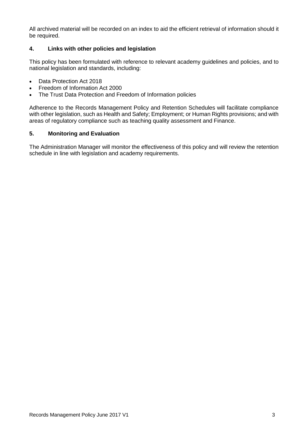All archived material will be recorded on an index to aid the efficient retrieval of information should it be required.

# **4. Links with other policies and legislation**

This policy has been formulated with reference to relevant academy guidelines and policies, and to national legislation and standards, including:

- Data Protection Act 2018
- Freedom of Information Act 2000
- The Trust Data Protection and Freedom of Information policies

Adherence to the Records Management Policy and Retention Schedules will facilitate compliance with other legislation, such as Health and Safety; Employment; or Human Rights provisions; and with areas of regulatory compliance such as teaching quality assessment and Finance.

# **5. Monitoring and Evaluation**

The Administration Manager will monitor the effectiveness of this policy and will review the retention schedule in line with legislation and academy requirements.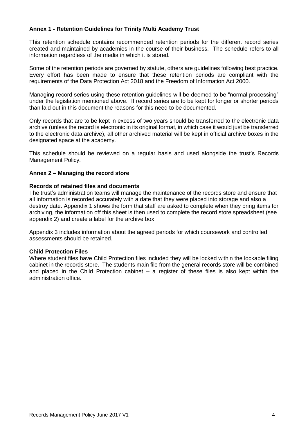# **Annex 1 - Retention Guidelines for Trinity Multi Academy Trust**

This retention schedule contains recommended retention periods for the different record series created and maintained by academies in the course of their business. The schedule refers to all information regardless of the media in which it is stored.

Some of the retention periods are governed by statute, others are guidelines following best practice. Every effort has been made to ensure that these retention periods are compliant with the requirements of the Data Protection Act 2018 and the Freedom of Information Act 2000.

Managing record series using these retention guidelines will be deemed to be "normal processing" under the legislation mentioned above. If record series are to be kept for longer or shorter periods than laid out in this document the reasons for this need to be documented.

Only records that are to be kept in excess of two years should be transferred to the electronic data archive (unless the record is electronic in its original format, in which case it would just be transferred to the electronic data archive), all other archived material will be kept in official archive boxes in the designated space at the academy.

This schedule should be reviewed on a regular basis and used alongside the trust's Records Management Policy.

#### **Annex 2 – Managing the record store**

#### **Records of retained files and documents**

The trust's administration teams will manage the maintenance of the records store and ensure that all information is recorded accurately with a date that they were placed into storage and also a destroy date. Appendix 1 shows the form that staff are asked to complete when they bring items for archiving, the information off this sheet is then used to complete the record store spreadsheet (see appendix 2) and create a label for the archive box.

Appendix 3 includes information about the agreed periods for which coursework and controlled assessments should be retained.

#### **Child Protection Files**

Where student files have Child Protection files included they will be locked within the lockable filing cabinet in the records store. The students main file from the general records store will be combined and placed in the Child Protection cabinet  $-$  a register of these files is also kept within the administration office.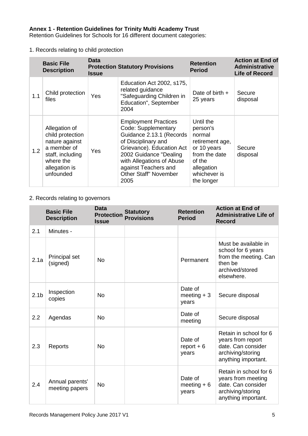Retention Guidelines for Schools for 16 different document categories:

1. Records relating to child protection

|     | <b>Basic File</b><br><b>Description</b>                                                                                           | <b>Data</b><br><b>Issue</b> | <b>Protection Statutory Provisions</b>                                                                                                                                                                                                                    | <b>Retention</b><br><b>Period</b>                                                                                                        | <b>Action at End of</b><br><b>Administrative</b><br><b>Life of Record</b> |
|-----|-----------------------------------------------------------------------------------------------------------------------------------|-----------------------------|-----------------------------------------------------------------------------------------------------------------------------------------------------------------------------------------------------------------------------------------------------------|------------------------------------------------------------------------------------------------------------------------------------------|---------------------------------------------------------------------------|
| 1.1 | Child protection<br>files                                                                                                         | Yes                         | Education Act 2002, s175,<br>related guidance<br>"Safeguarding Children in<br>Education", September<br>2004                                                                                                                                               | Date of birth $+$<br>25 years                                                                                                            | Secure<br>disposal                                                        |
| 1.2 | Allegation of<br>child protection<br>nature against<br>a member of<br>staff, including<br>where the<br>allegation is<br>unfounded | Yes                         | <b>Employment Practices</b><br>Code: Supplementary<br>Guidance 2.13.1 (Records<br>of Disciplinary and<br>Grievance). Education Act<br>2002 Guidance "Dealing<br>with Allegations of Abuse<br>against Teachers and<br><b>Other Staff" November</b><br>2005 | Until the<br>person's<br>normal<br>retirement age,<br>or 10 years<br>from the date<br>of the<br>allegation<br>whichever is<br>the longer | Secure<br>disposal                                                        |

# 2. Records relating to governors

|                  | <b>Basic File</b><br><b>Description</b> | <b>Data</b><br><b>Protection</b><br><b>Issue</b> | <b>Statutory</b><br><b>Provisions</b> | <b>Retention</b><br><b>Period</b> | <b>Action at End of</b><br><b>Administrative Life of</b><br><b>Record</b>                                       |
|------------------|-----------------------------------------|--------------------------------------------------|---------------------------------------|-----------------------------------|-----------------------------------------------------------------------------------------------------------------|
| 2.1              | Minutes -                               |                                                  |                                       |                                   |                                                                                                                 |
| 2.1a             | Principal set<br>(signed)               | <b>No</b>                                        |                                       | Permanent                         | Must be available in<br>school for 6 years<br>from the meeting. Can<br>then be<br>archived/stored<br>elsewhere. |
| 2.1 <sub>b</sub> | Inspection<br>copies                    | <b>No</b>                                        |                                       | Date of<br>meeting $+3$<br>years  | Secure disposal                                                                                                 |
| 2.2              | Agendas                                 | <b>No</b>                                        |                                       | Date of<br>meeting                | Secure disposal                                                                                                 |
| 2.3              | Reports                                 | <b>No</b>                                        |                                       | Date of<br>$report + 6$<br>years  | Retain in school for 6<br>years from report<br>date. Can consider<br>archiving/storing<br>anything important.   |
| 2.4              | Annual parents'<br>meeting papers       | <b>No</b>                                        |                                       | Date of<br>meeting $+6$<br>years  | Retain in school for 6<br>years from meeting<br>date. Can consider<br>archiving/storing<br>anything important.  |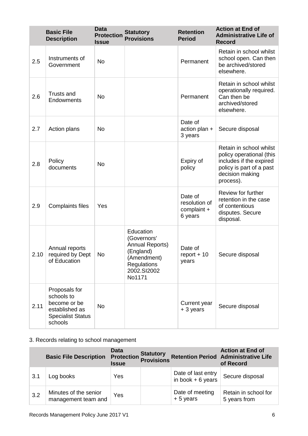|      | <b>Basic File</b><br><b>Description</b>                                                              | <b>Data</b><br><b>Protection</b><br><b>Issue</b> | <b>Statutory</b><br><b>Provisions</b>                                                                                  | <b>Retention</b><br><b>Period</b>                  | <b>Action at End of</b><br><b>Administrative Life of</b><br><b>Record</b>                                                                  |
|------|------------------------------------------------------------------------------------------------------|--------------------------------------------------|------------------------------------------------------------------------------------------------------------------------|----------------------------------------------------|--------------------------------------------------------------------------------------------------------------------------------------------|
| 2.5  | Instruments of<br>Government                                                                         | <b>No</b>                                        |                                                                                                                        | Permanent                                          | Retain in school whilst<br>school open. Can then<br>be archived/stored<br>elsewhere.                                                       |
| 2.6  | <b>Trusts and</b><br>Endowments                                                                      | <b>No</b>                                        |                                                                                                                        | Permanent                                          | Retain in school whilst<br>operationally required.<br>Can then be<br>archived/stored<br>elsewhere.                                         |
| 2.7  | Action plans                                                                                         | <b>No</b>                                        |                                                                                                                        | Date of<br>action plan +<br>3 years                | Secure disposal                                                                                                                            |
| 2.8  | Policy<br>documents                                                                                  | <b>No</b>                                        |                                                                                                                        | Expiry of<br>policy                                | Retain in school whilst<br>policy operational (this<br>includes if the expired<br>policy is part of a past<br>decision making<br>process). |
| 2.9  | <b>Complaints files</b>                                                                              | Yes                                              |                                                                                                                        | Date of<br>resolution of<br>complaint +<br>6 years | Review for further<br>retention in the case<br>of contentious<br>disputes. Secure<br>disposal.                                             |
| 2.10 | Annual reports<br>required by Dept<br>of Education                                                   | No                                               | Education<br>(Governors'<br>Annual Reports)<br>(England)<br>(Amendment)<br><b>Regulations</b><br>2002.SI2002<br>No1171 | Date of<br>$report + 10$<br>years                  | Secure disposal                                                                                                                            |
| 2.11 | Proposals for<br>schools to<br>become or be<br>established as<br><b>Specialist Status</b><br>schools | <b>No</b>                                        |                                                                                                                        | Current year<br>+ 3 years                          | Secure disposal                                                                                                                            |

# 3. Records relating to school management

|     | <b>Basic File Description</b>                | Data<br><b>Protection</b><br><b>Issue</b> | <b>Statutory</b><br><b>Provisions</b> |                                          | <b>Action at End of</b><br><b>Retention Period Administrative Life</b><br>of Record |
|-----|----------------------------------------------|-------------------------------------------|---------------------------------------|------------------------------------------|-------------------------------------------------------------------------------------|
| 3.1 | Log books                                    | Yes                                       |                                       | Date of last entry<br>in book $+6$ years | Secure disposal                                                                     |
| 3.2 | Minutes of the senior<br>management team and | Yes                                       |                                       | Date of meeting<br>$+5$ years            | Retain in school for<br>5 years from                                                |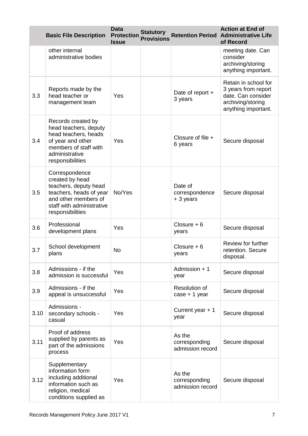|      | <b>Basic File Description</b>                                                                                                                                  | <b>Data</b><br><b>Protection</b><br><b>Issue</b> | <b>Statutory</b><br><b>Provisions</b> |                                             | <b>Action at End of</b><br><b>Retention Period Administrative Life</b><br>of Record                           |
|------|----------------------------------------------------------------------------------------------------------------------------------------------------------------|--------------------------------------------------|---------------------------------------|---------------------------------------------|---------------------------------------------------------------------------------------------------------------|
|      | other internal<br>administrative bodies                                                                                                                        |                                                  |                                       |                                             | meeting date. Can<br>consider<br>archiving/storing<br>anything important.                                     |
| 3.3  | Reports made by the<br>head teacher or<br>management team                                                                                                      | Yes                                              |                                       | Date of report +<br>3 years                 | Retain in school for<br>3 years from report<br>date. Can consider<br>archiving/storing<br>anything important. |
| 3.4  | Records created by<br>head teachers, deputy<br>head teachers, heads<br>of year and other<br>members of staff with<br>administrative<br>responsibilities        | Yes                                              |                                       | Closure of file +<br>6 years                | Secure disposal                                                                                               |
| 3.5  | Correspondence<br>created by head<br>teachers, deputy head<br>teachers, heads of year<br>and other members of<br>staff with administrative<br>responsibilities | No/Yes                                           |                                       | Date of<br>correspondence<br>+ 3 years      | Secure disposal                                                                                               |
| 3.6  | Professional<br>development plans                                                                                                                              | Yes                                              |                                       | Closure $+6$<br>years                       | Secure disposal                                                                                               |
| 3.7  | School development<br>plans                                                                                                                                    | <b>No</b>                                        |                                       | Closure $+6$<br>years                       | Review for further<br>retention. Secure<br>disposal.                                                          |
| 3.8  | Admissions - if the<br>admission is successful                                                                                                                 | Yes                                              |                                       | Admission + 1<br>year                       | Secure disposal                                                                                               |
| 3.9  | Admissions - if the<br>appeal is unsuccessful                                                                                                                  | Yes                                              |                                       | Resolution of<br>$case + 1$ year            | Secure disposal                                                                                               |
| 3.10 | Admissions -<br>secondary schools -<br>casual                                                                                                                  | Yes                                              |                                       | Current year + 1<br>year                    | Secure disposal                                                                                               |
| 3.11 | Proof of address<br>supplied by parents as<br>part of the admissions<br>process                                                                                | Yes                                              |                                       | As the<br>corresponding<br>admission record | Secure disposal                                                                                               |
| 3.12 | Supplementary<br>information form<br>including additional<br>information such as<br>religion, medical<br>conditions supplied as                                | Yes                                              |                                       | As the<br>corresponding<br>admission record | Secure disposal                                                                                               |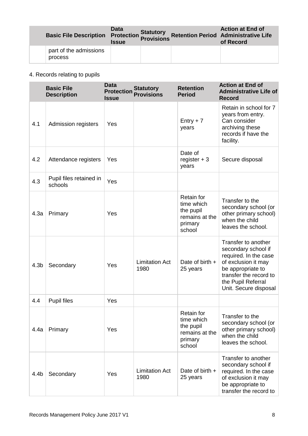| <b>Basic File Description</b>     | Data<br>Protection Provisions<br><b>Issue</b> | <b>Statutory</b> | <b>Action at End of</b><br><b>Retention Period Administrative Life</b><br>of Record |
|-----------------------------------|-----------------------------------------------|------------------|-------------------------------------------------------------------------------------|
| part of the admissions<br>process |                                               |                  |                                                                                     |

# 4. Records relating to pupils

|                  | <b>Basic File</b><br><b>Description</b> | <b>Data</b><br><b>Protection</b><br><b>Issue</b> | <b>Statutory</b><br><b>Provisions</b> | <b>Retention</b><br><b>Period</b>                                                   | <b>Action at End of</b><br><b>Administrative Life of</b><br><b>Record</b>                                                                                                                |
|------------------|-----------------------------------------|--------------------------------------------------|---------------------------------------|-------------------------------------------------------------------------------------|------------------------------------------------------------------------------------------------------------------------------------------------------------------------------------------|
| 4.1              | <b>Admission registers</b>              | Yes                                              |                                       | $Entry + 7$<br>years                                                                | Retain in school for 7<br>years from entry.<br>Can consider<br>archiving these<br>records if have the<br>facility.                                                                       |
| 4.2              | Attendance registers                    | Yes                                              |                                       | Date of<br>register $+3$<br>years                                                   | Secure disposal                                                                                                                                                                          |
| 4.3              | Pupil files retained in<br>schools      | Yes                                              |                                       |                                                                                     |                                                                                                                                                                                          |
| 4.3a             | Primary                                 | Yes                                              |                                       | Retain for<br>time which<br>the pupil<br>remains at the<br>primary<br>school        | Transfer to the<br>secondary school (or<br>other primary school)<br>when the child<br>leaves the school.                                                                                 |
| 4.3 <sub>b</sub> | Secondary                               | Yes                                              | <b>Limitation Act</b><br>1980         | Date of birth +<br>25 years                                                         | Transfer to another<br>secondary school if<br>required. In the case<br>of exclusion it may<br>be appropriate to<br>transfer the record to<br>the Pupil Referral<br>Unit. Secure disposal |
| 4.4              | <b>Pupil files</b>                      | Yes                                              |                                       |                                                                                     |                                                                                                                                                                                          |
| 4.4a             | Primary                                 | Yes                                              |                                       | <b>Retain for</b><br>time which<br>the pupil<br>remains at the<br>primary<br>school | Transfer to the<br>secondary school (or<br>other primary school)<br>when the child<br>leaves the school.                                                                                 |
| 4.4b             | Secondary                               | Yes                                              | <b>Limitation Act</b><br>1980         | Date of birth $+$<br>25 years                                                       | Transfer to another<br>secondary school if<br>required. In the case<br>of exclusion it may<br>be appropriate to<br>transfer the record to                                                |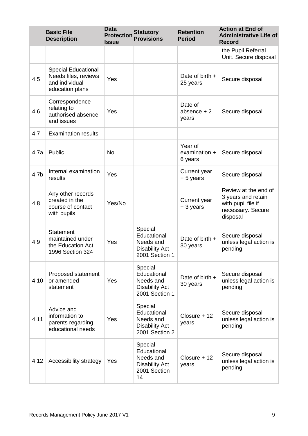|      | <b>Basic File</b><br><b>Description</b>                                                 | <b>Data</b><br><b>Protection</b><br><b>Issue</b> | <b>Statutory</b><br><b>Provisions</b>                                              | <b>Retention</b><br><b>Period</b>   | <b>Action at End of</b><br><b>Administrative Life of</b><br><b>Record</b>                         |
|------|-----------------------------------------------------------------------------------------|--------------------------------------------------|------------------------------------------------------------------------------------|-------------------------------------|---------------------------------------------------------------------------------------------------|
|      |                                                                                         |                                                  |                                                                                    |                                     | the Pupil Referral<br>Unit. Secure disposal                                                       |
| 4.5  | <b>Special Educational</b><br>Needs files, reviews<br>and individual<br>education plans | Yes                                              |                                                                                    | Date of birth $+$<br>25 years       | Secure disposal                                                                                   |
| 4.6  | Correspondence<br>relating to<br>authorised absence<br>and issues                       | Yes                                              |                                                                                    | Date of<br>absence $+2$<br>years    | Secure disposal                                                                                   |
| 4.7  | <b>Examination results</b>                                                              |                                                  |                                                                                    |                                     |                                                                                                   |
| 4.7a | Public                                                                                  | <b>No</b>                                        |                                                                                    | Year of<br>examination +<br>6 years | Secure disposal                                                                                   |
| 4.7b | Internal examination<br>results                                                         | Yes                                              |                                                                                    | <b>Current year</b><br>+ 5 years    | Secure disposal                                                                                   |
| 4.8  | Any other records<br>created in the<br>course of contact<br>with pupils                 | Yes/No                                           |                                                                                    | Current year<br>+ 3 years           | Review at the end of<br>3 years and retain<br>with pupil file if<br>necessary. Secure<br>disposal |
| 4.9  | <b>Statement</b><br>maintained under<br>the Education Act<br>1996 Section 324           | Yes                                              | Special<br>Educational<br>Needs and<br><b>Disability Act</b><br>2001 Section 1     | Date of birth $+$<br>30 years       | Secure disposal<br>unless legal action is<br>pending                                              |
| 4.10 | Proposed statement<br>or amended<br>statement                                           | Yes                                              | Special<br>Educational<br>Needs and<br><b>Disability Act</b><br>2001 Section 1     | Date of birth $+$<br>30 years       | Secure disposal<br>unless legal action is<br>pending                                              |
| 4.11 | Advice and<br>information to<br>parents regarding<br>educational needs                  | Yes                                              | Special<br>Educational<br>Needs and<br><b>Disability Act</b><br>2001 Section 2     | $Closure + 12$<br>years             | Secure disposal<br>unless legal action is<br>pending                                              |
| 4.12 | Accessibility strategy                                                                  | Yes                                              | Special<br>Educational<br>Needs and<br><b>Disability Act</b><br>2001 Section<br>14 | Closure + 12<br>years               | Secure disposal<br>unless legal action is<br>pending                                              |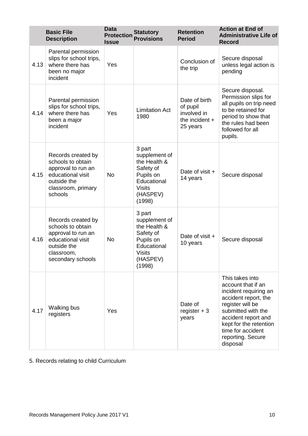|      | <b>Basic File</b><br><b>Description</b>                                                                                              | <b>Data</b><br><b>Protection</b><br><b>Issue</b> | <b>Statutory</b><br><b>Provisions</b>                                                                                   | <b>Retention</b><br><b>Period</b>                                        | <b>Action at End of</b><br><b>Administrative Life of</b><br><b>Record</b>                                                                                                                                                               |
|------|--------------------------------------------------------------------------------------------------------------------------------------|--------------------------------------------------|-------------------------------------------------------------------------------------------------------------------------|--------------------------------------------------------------------------|-----------------------------------------------------------------------------------------------------------------------------------------------------------------------------------------------------------------------------------------|
| 4.13 | Parental permission<br>slips for school trips,<br>where there has<br>been no major<br>incident                                       | Yes                                              |                                                                                                                         | Conclusion of<br>the trip                                                | Secure disposal<br>unless legal action is<br>pending                                                                                                                                                                                    |
| 4.14 | Parental permission<br>slips for school trips,<br>where there has<br>been a major<br>incident                                        | Yes                                              | <b>Limitation Act</b><br>1980                                                                                           | Date of birth<br>of pupil<br>involved in<br>the incident $+$<br>25 years | Secure disposal.<br>Permission slips for<br>all pupils on trip need<br>to be retained for<br>period to show that<br>the rules had been<br>followed for all<br>pupils.                                                                   |
| 4.15 | Records created by<br>schools to obtain<br>approval to run an<br>educational visit<br>outside the<br>classroom, primary<br>schools   | <b>No</b>                                        | 3 part<br>supplement of<br>the Health &<br>Safety of<br>Pupils on<br>Educational<br><b>Visits</b><br>(HASPEV)<br>(1998) | Date of visit +<br>14 years                                              | Secure disposal                                                                                                                                                                                                                         |
| 4.16 | Records created by<br>schools to obtain<br>approval to run an<br>educational visit<br>outside the<br>classroom,<br>secondary schools | <b>No</b>                                        | 3 part<br>supplement of<br>the Health &<br>Safety of<br>Pupils on<br>Educational<br><b>Visits</b><br>(HASPEV)<br>(1998) | Date of visit +<br>10 years                                              | Secure disposal                                                                                                                                                                                                                         |
| 4.17 | <b>Walking bus</b><br>registers                                                                                                      | Yes                                              |                                                                                                                         | Date of<br>register $+3$<br>years                                        | This takes into<br>account that if an<br>incident requiring an<br>accident report, the<br>register will be<br>submitted with the<br>accident report and<br>kept for the retention<br>time for accident<br>reporting. Secure<br>disposal |

5. Records relating to child Curriculum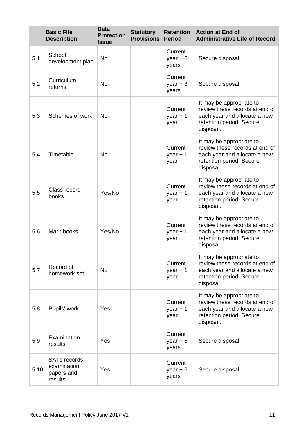|      | <b>Basic File</b><br><b>Description</b>               | <b>Data</b><br><b>Protection</b><br><b>Issue</b> | <b>Statutory</b><br><b>Provisions</b> | <b>Retention</b><br><b>Period</b> | <b>Action at End of</b><br><b>Administrative Life of Record</b>                                                                     |
|------|-------------------------------------------------------|--------------------------------------------------|---------------------------------------|-----------------------------------|-------------------------------------------------------------------------------------------------------------------------------------|
| 5.1  | School<br>development plan                            | <b>No</b>                                        |                                       | Current<br>year $+6$<br>years     | Secure disposal                                                                                                                     |
| 5.2  | Curriculum<br>returns                                 | <b>No</b>                                        |                                       | Current<br>$year + 3$<br>years    | Secure disposal                                                                                                                     |
| 5.3  | Schemes of work                                       | <b>No</b>                                        |                                       | Current<br>year $+1$<br>year      | It may be appropriate to<br>review these records at end of<br>each year and allocate a new<br>retention period. Secure<br>disposal. |
| 5.4  | Timetable                                             | <b>No</b>                                        |                                       | Current<br>year $+1$<br>year      | It may be appropriate to<br>review these records at end of<br>each year and allocate a new<br>retention period. Secure<br>disposal. |
| 5.5  | Class record<br>books                                 | Yes/No                                           |                                       | Current<br>year $+1$<br>year      | It may be appropriate to<br>review these records at end of<br>each year and allocate a new<br>retention period. Secure<br>disposal. |
| 5.6  | Mark books                                            | Yes/No                                           |                                       | Current<br>year $+1$<br>year      | It may be appropriate to<br>review these records at end of<br>each year and allocate a new<br>retention period. Secure<br>disposal. |
| 5.7  | Record of<br>homework set                             | <b>No</b>                                        |                                       | Current<br>year $+1$<br>year      | It may be appropriate to<br>review these records at end of<br>each year and allocate a new<br>retention period. Secure<br>disposal. |
| 5.8  | Pupils' work                                          | Yes                                              |                                       | Current<br>$year + 1$<br>year     | It may be appropriate to<br>review these records at end of<br>each year and allocate a new<br>retention period. Secure<br>disposal. |
| 5.9  | Examination<br>results                                | Yes                                              |                                       | Current<br>year $+6$<br>years     | Secure disposal                                                                                                                     |
| 5.10 | SATs records,<br>examination<br>papers and<br>results | Yes                                              |                                       | Current<br>year $+6$<br>years     | Secure disposal                                                                                                                     |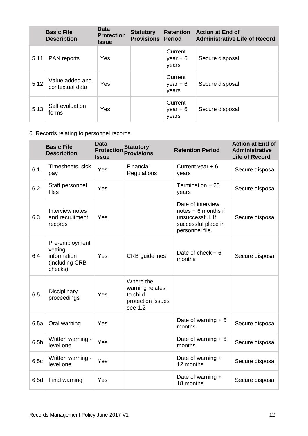|      | <b>Basic File</b><br><b>Description</b> | <b>Data</b><br><b>Protection</b><br><b>Issue</b> | <b>Statutory</b><br><b>Provisions Period</b> | <b>Retention</b>               | <b>Action at End of</b><br><b>Administrative Life of Record</b> |
|------|-----------------------------------------|--------------------------------------------------|----------------------------------------------|--------------------------------|-----------------------------------------------------------------|
| 5.11 | <b>PAN</b> reports                      | Yes                                              |                                              | Current<br>$year + 6$<br>years | Secure disposal                                                 |
| 5.12 | Value added and<br>contextual data      | Yes                                              |                                              | Current<br>$year + 6$<br>years | Secure disposal                                                 |
| 5.13 | Self evaluation<br>forms                | Yes                                              |                                              | Current<br>$year + 6$<br>years | Secure disposal                                                 |

# 6. Records relating to personnel records

|                  | <b>Basic File</b><br><b>Description</b>                               | <b>Data</b><br><b>Protection</b><br><b>Issue</b> | <b>Statutory</b><br><b>Provisions</b>                                    | <b>Retention Period</b>                                                                                | <b>Action at End of</b><br><b>Administrative</b><br><b>Life of Record</b> |
|------------------|-----------------------------------------------------------------------|--------------------------------------------------|--------------------------------------------------------------------------|--------------------------------------------------------------------------------------------------------|---------------------------------------------------------------------------|
| 6.1              | Timesheets, sick<br>pay                                               | Yes                                              | Financial<br>Regulations                                                 | Current year $+6$<br>years                                                                             | Secure disposal                                                           |
| 6.2              | Staff personnel<br>files                                              | Yes                                              |                                                                          | Termination + 25<br>years                                                                              | Secure disposal                                                           |
| 6.3              | Interview notes<br>and recruitment<br>records                         | Yes                                              |                                                                          | Date of interview<br>notes + 6 months if<br>unsuccessful. If<br>successful place in<br>personnel file. | Secure disposal                                                           |
| 6.4              | Pre-employment<br>vetting<br>information<br>(including CRB<br>checks) | Yes                                              | <b>CRB</b> guidelines                                                    | Date of check $+6$<br>months                                                                           | Secure disposal                                                           |
| 6.5              | Disciplinary<br>proceedings                                           | Yes                                              | Where the<br>warning relates<br>to child<br>protection issues<br>see 1.2 |                                                                                                        |                                                                           |
| 6.5a             | Oral warning                                                          | Yes                                              |                                                                          | Date of warning $+ 6$<br>months                                                                        | Secure disposal                                                           |
| 6.5 <sub>b</sub> | Written warning -<br>level one                                        | Yes                                              |                                                                          | Date of warning $+ 6$<br>months                                                                        | Secure disposal                                                           |
| 6.5c             | Written warning -<br>level one                                        | Yes                                              |                                                                          | Date of warning +<br>12 months                                                                         | Secure disposal                                                           |
| 6.5d             | Final warning                                                         | Yes                                              |                                                                          | Date of warning +<br>18 months                                                                         | Secure disposal                                                           |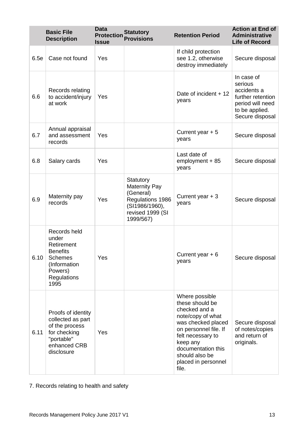|      | <b>Basic File</b><br><b>Description</b>                                                                                           | <b>Data</b><br><b>Protection</b><br><b>Issue</b> | <b>Statutory</b><br><b>Provisions</b>                                                                                 | <b>Retention Period</b>                                                                                                                                                                                                         | <b>Action at End of</b><br><b>Administrative</b><br><b>Life of Record</b>                                          |
|------|-----------------------------------------------------------------------------------------------------------------------------------|--------------------------------------------------|-----------------------------------------------------------------------------------------------------------------------|---------------------------------------------------------------------------------------------------------------------------------------------------------------------------------------------------------------------------------|--------------------------------------------------------------------------------------------------------------------|
| 6.5e | Case not found                                                                                                                    | Yes                                              |                                                                                                                       | If child protection<br>see 1.2, otherwise<br>destroy immediately                                                                                                                                                                | Secure disposal                                                                                                    |
| 6.6  | Records relating<br>to accident/injury<br>at work                                                                                 | Yes                                              |                                                                                                                       | Date of incident + 12<br>years                                                                                                                                                                                                  | In case of<br>serious<br>accidents a<br>further retention<br>period will need<br>to be applied.<br>Secure disposal |
| 6.7  | Annual appraisal<br>and assessment<br>records                                                                                     | Yes                                              |                                                                                                                       | Current year $+5$<br>years                                                                                                                                                                                                      | Secure disposal                                                                                                    |
| 6.8  | Salary cards                                                                                                                      | Yes                                              |                                                                                                                       | Last date of<br>employment + 85<br>years                                                                                                                                                                                        | Secure disposal                                                                                                    |
| 6.9  | Maternity pay<br>records                                                                                                          | Yes                                              | Statutory<br><b>Maternity Pay</b><br>(General)<br>Regulations 1986<br>(SI1986/1960),<br>revised 1999 (SI<br>1999/567) | Current year + 3<br>years                                                                                                                                                                                                       | Secure disposal                                                                                                    |
| 6.10 | Records held<br>under<br>Retirement<br><b>Benefits</b><br><b>Schemes</b><br>(Information<br>Powers)<br><b>Regulations</b><br>1995 | Yes                                              |                                                                                                                       | Current year $+6$<br>years                                                                                                                                                                                                      | Secure disposal                                                                                                    |
| 6.11 | Proofs of identity<br>collected as part<br>of the process<br>for checking<br>"portable"<br>enhanced CRB<br>disclosure             | Yes                                              |                                                                                                                       | Where possible<br>these should be<br>checked and a<br>note/copy of what<br>was checked placed<br>on personnel file. If<br>felt necessary to<br>keep any<br>documentation this<br>should also be<br>placed in personnel<br>file. | Secure disposal<br>of notes/copies<br>and return of<br>originals.                                                  |

7. Records relating to health and safety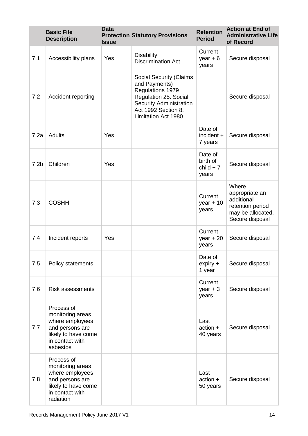|                  | <b>Basic File</b><br><b>Description</b>                                                                                     | <b>Data</b><br><b>Issue</b> | <b>Protection Statutory Provisions</b>                                                                                                                                       | <b>Retention</b><br><b>Period</b>           | <b>Action at End of</b><br><b>Administrative Life</b><br>of Record                                |
|------------------|-----------------------------------------------------------------------------------------------------------------------------|-----------------------------|------------------------------------------------------------------------------------------------------------------------------------------------------------------------------|---------------------------------------------|---------------------------------------------------------------------------------------------------|
| 7.1              | Accessibility plans                                                                                                         | Yes                         | <b>Disability</b><br><b>Discrimination Act</b>                                                                                                                               | Current<br>$year + 6$<br>years              | Secure disposal                                                                                   |
| 7.2              | Accident reporting                                                                                                          |                             | <b>Social Security (Claims</b><br>and Payments)<br>Regulations 1979<br>Regulation 25. Social<br><b>Security Administration</b><br>Act 1992 Section 8.<br>Limitation Act 1980 |                                             | Secure disposal                                                                                   |
| 7.2a             | Adults                                                                                                                      | Yes                         |                                                                                                                                                                              | Date of<br>incident +<br>7 years            | Secure disposal                                                                                   |
| 7.2 <sub>b</sub> | Children                                                                                                                    | Yes                         |                                                                                                                                                                              | Date of<br>birth of<br>$child + 7$<br>years | Secure disposal                                                                                   |
| 7.3              | <b>COSHH</b>                                                                                                                |                             |                                                                                                                                                                              | Current<br>year $+10$<br>years              | Where<br>appropriate an<br>additional<br>retention period<br>may be allocated.<br>Secure disposal |
| 7.4              | Incident reports                                                                                                            | Yes                         |                                                                                                                                                                              | Current<br>year $+20$<br>years              | Secure disposal                                                                                   |
| 7.5              | Policy statements                                                                                                           |                             |                                                                                                                                                                              | Date of<br>$expiry +$<br>1 year             | Secure disposal                                                                                   |
| 7.6              | <b>Risk assessments</b>                                                                                                     |                             |                                                                                                                                                                              | Current<br>year $+3$<br>years               | Secure disposal                                                                                   |
| 7.7              | Process of<br>monitoring areas<br>where employees<br>and persons are<br>likely to have come<br>in contact with<br>asbestos  |                             |                                                                                                                                                                              | Last<br>$action +$<br>40 years              | Secure disposal                                                                                   |
| 7.8              | Process of<br>monitoring areas<br>where employees<br>and persons are<br>likely to have come<br>in contact with<br>radiation |                             |                                                                                                                                                                              | Last<br>action +<br>50 years                | Secure disposal                                                                                   |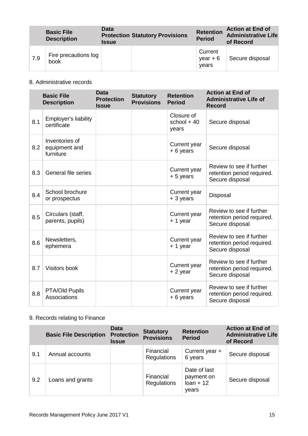|     | <b>Basic File</b><br><b>Description</b> | Data<br><b>Issue</b> | <b>Protection Statutory Provisions</b> | <b>Retention</b><br><b>Period</b> | <b>Action at End of</b><br><b>Administrative Life</b><br>of Record |
|-----|-----------------------------------------|----------------------|----------------------------------------|-----------------------------------|--------------------------------------------------------------------|
| 7.9 | Fire precautions log<br>book            |                      |                                        | Current<br>$year + 6$<br>vears    | Secure disposal                                                    |

# 8. Administrative records

|     | <b>Basic File</b><br><b>Description</b>      | <b>Data</b><br><b>Protection</b><br><b>Issue</b> | <b>Statutory</b><br><b>Provisions</b> | <b>Retention</b><br><b>Period</b>   | <b>Action at End of</b><br><b>Administrative Life of</b><br><b>Record</b> |
|-----|----------------------------------------------|--------------------------------------------------|---------------------------------------|-------------------------------------|---------------------------------------------------------------------------|
| 8.1 | Employer's liability<br>certificate          |                                                  |                                       | Closure of<br>school $+40$<br>years | Secure disposal                                                           |
| 8.2 | Inventories of<br>equipment and<br>furniture |                                                  |                                       | Current year<br>$+6$ years          | Secure disposal                                                           |
| 8.3 | General file series                          |                                                  |                                       | Current year<br>+ 5 years           | Review to see if further<br>retention period required.<br>Secure disposal |
| 8.4 | School brochure<br>or prospectus             |                                                  |                                       | <b>Current</b> year<br>+ 3 years    | Disposal                                                                  |
| 8.5 | Circulars (staff,<br>parents, pupils)        |                                                  |                                       | Current year<br>$+1$ year           | Review to see if further<br>retention period required.<br>Secure disposal |
| 8.6 | Newsletters,<br>ephemera                     |                                                  |                                       | Current year<br>$+1$ year           | Review to see if further<br>retention period required.<br>Secure disposal |
| 8.7 | Visitors book                                |                                                  |                                       | Current year<br>$+2$ year           | Review to see if further<br>retention period required.<br>Secure disposal |
| 8.8 | PTA/Old Pupils<br>Associations               |                                                  |                                       | Current year<br>+6 years            | Review to see if further<br>retention period required.<br>Secure disposal |

# 9. Records relating to Finance

|     | <b>Basic File Description</b> | <b>Data</b><br><b>Protection</b><br><b>Issue</b> | <b>Statutory</b><br><b>Provisions</b> | <b>Retention</b><br><b>Period</b>                  | <b>Action at End of</b><br><b>Administrative Life</b><br>of Record |
|-----|-------------------------------|--------------------------------------------------|---------------------------------------|----------------------------------------------------|--------------------------------------------------------------------|
| 9.1 | Annual accounts               |                                                  | Financial<br><b>Regulations</b>       | Current year +<br>6 years                          | Secure disposal                                                    |
| 9.2 | Loans and grants              |                                                  | Financial<br><b>Regulations</b>       | Date of last<br>payment on<br>$Ioan + 12$<br>years | Secure disposal                                                    |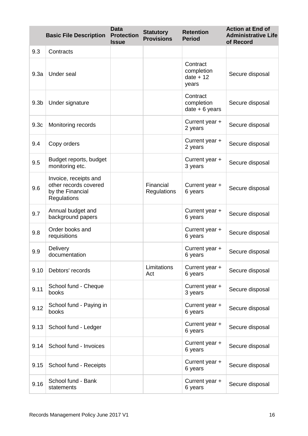|                  | <b>Basic File Description</b>                                                     | <b>Data</b><br><b>Protection</b><br><b>Issue</b> | <b>Statutory</b><br><b>Provisions</b> | <b>Retention</b><br><b>Period</b>              | <b>Action at End of</b><br><b>Administrative Life</b><br>of Record |
|------------------|-----------------------------------------------------------------------------------|--------------------------------------------------|---------------------------------------|------------------------------------------------|--------------------------------------------------------------------|
| 9.3              | Contracts                                                                         |                                                  |                                       |                                                |                                                                    |
| 9.3a             | Under seal                                                                        |                                                  |                                       | Contract<br>completion<br>$date + 12$<br>years | Secure disposal                                                    |
| 9.3 <sub>b</sub> | Under signature                                                                   |                                                  |                                       | Contract<br>completion<br>$date + 6 years$     | Secure disposal                                                    |
| 9.3 <sub>c</sub> | Monitoring records                                                                |                                                  |                                       | Current year +<br>2 years                      | Secure disposal                                                    |
| 9.4              | Copy orders                                                                       |                                                  |                                       | Current year +<br>2 years                      | Secure disposal                                                    |
| 9.5              | Budget reports, budget<br>monitoring etc.                                         |                                                  |                                       | Current year +<br>3 years                      | Secure disposal                                                    |
| 9.6              | Invoice, receipts and<br>other records covered<br>by the Financial<br>Regulations |                                                  | Financial<br>Regulations              | Current year +<br>6 years                      | Secure disposal                                                    |
| 9.7              | Annual budget and<br>background papers                                            |                                                  |                                       | Current year +<br>6 years                      | Secure disposal                                                    |
| 9.8              | Order books and<br>requisitions                                                   |                                                  |                                       | Current year +<br>6 years                      | Secure disposal                                                    |
| 9.9              | Delivery<br>documentation                                                         |                                                  |                                       | Current year +<br>6 years                      | Secure disposal                                                    |
| 9.10             | Debtors' records                                                                  |                                                  | Limitations<br>Act                    | Current year +<br>6 years                      | Secure disposal                                                    |
| 9.11             | School fund - Cheque<br>books                                                     |                                                  |                                       | Current year +<br>3 years                      | Secure disposal                                                    |
| 9.12             | School fund - Paying in<br>books                                                  |                                                  |                                       | Current year +<br>6 years                      | Secure disposal                                                    |
| 9.13             | School fund - Ledger                                                              |                                                  |                                       | Current year +<br>6 years                      | Secure disposal                                                    |
| 9.14             | School fund - Invoices                                                            |                                                  |                                       | Current year +<br>6 years                      | Secure disposal                                                    |
| 9.15             | School fund - Receipts                                                            |                                                  |                                       | Current year +<br>6 years                      | Secure disposal                                                    |
| 9.16             | School fund - Bank<br>statements                                                  |                                                  |                                       | Current year +<br>6 years                      | Secure disposal                                                    |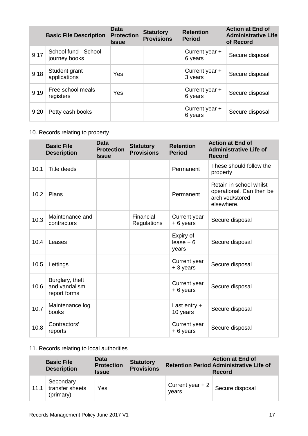|      | <b>Basic File Description</b>         | <b>Data</b><br><b>Protection</b><br><b>Issue</b> | <b>Statutory</b><br><b>Provisions</b> | <b>Retention</b><br><b>Period</b> | <b>Action at End of</b><br><b>Administrative Life</b><br>of Record |
|------|---------------------------------------|--------------------------------------------------|---------------------------------------|-----------------------------------|--------------------------------------------------------------------|
| 9.17 | School fund - School<br>journey books |                                                  |                                       | Current year +<br>6 years         | Secure disposal                                                    |
| 9.18 | Student grant<br>applications         | <b>Yes</b>                                       |                                       | Current year +<br>3 years         | Secure disposal                                                    |
| 9.19 | Free school meals<br>registers        | Yes                                              |                                       | Current year +<br>6 years         | Secure disposal                                                    |
| 9.20 | Petty cash books                      |                                                  |                                       | Current year $+$<br>6 years       | Secure disposal                                                    |

# 10. Records relating to property

|      | <b>Basic File</b><br><b>Description</b>          | <b>Data</b><br><b>Protection</b><br><b>Issue</b> | <b>Statutory</b><br><b>Provisions</b> | <b>Retention</b><br><b>Period</b> | <b>Action at End of</b><br><b>Administrative Life of</b><br><b>Record</b>            |
|------|--------------------------------------------------|--------------------------------------------------|---------------------------------------|-----------------------------------|--------------------------------------------------------------------------------------|
| 10.1 | Title deeds                                      |                                                  |                                       | Permanent                         | These should follow the<br>property                                                  |
| 10.2 | Plans                                            |                                                  |                                       | Permanent                         | Retain in school whilst<br>operational. Can then be<br>archived/stored<br>elsewhere. |
| 10.3 | Maintenance and<br>contractors                   |                                                  | Financial<br>Regulations              | Current year<br>+6 years          | Secure disposal                                                                      |
| 10.4 | Leases                                           |                                                  |                                       | Expiry of<br>$lease + 6$<br>years | Secure disposal                                                                      |
| 10.5 | Lettings                                         |                                                  |                                       | Current year<br>+ 3 years         | Secure disposal                                                                      |
| 10.6 | Burglary, theft<br>and vandalism<br>report forms |                                                  |                                       | Current year<br>+6 years          | Secure disposal                                                                      |
| 10.7 | Maintenance log<br>books                         |                                                  |                                       | Last entry $+$<br>10 years        | Secure disposal                                                                      |
| 10.8 | Contractors'<br>reports                          |                                                  |                                       | Current year<br>+ 6 years         | Secure disposal                                                                      |

# 11. Records relating to local authorities

|      | <b>Basic File</b><br><b>Description</b>   | <b>Data</b><br><b>Protection</b><br><b>Issue</b> | <b>Statutory</b><br><b>Provisions</b> |                            | <b>Action at End of</b><br><b>Retention Period Administrative Life of</b><br><b>Record</b> |
|------|-------------------------------------------|--------------------------------------------------|---------------------------------------|----------------------------|--------------------------------------------------------------------------------------------|
| 11.1 | Secondary<br>transfer sheets<br>(primary) | Yes                                              |                                       | Current year $+2$<br>vears | Secure disposal                                                                            |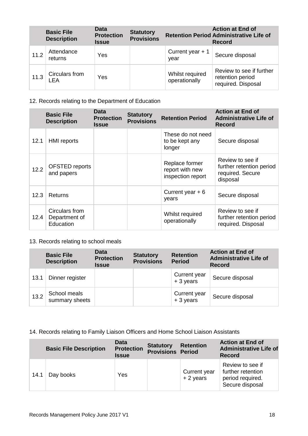|      | <b>Basic File</b><br><b>Description</b> | Data<br><b>Protection</b><br><b>Issue</b> | <b>Statutory</b><br><b>Provisions</b> |                                  | <b>Action at End of</b><br><b>Retention Period Administrative Life of</b><br><b>Record</b> |
|------|-----------------------------------------|-------------------------------------------|---------------------------------------|----------------------------------|--------------------------------------------------------------------------------------------|
| 11.2 | Attendance<br>returns                   | Yes                                       |                                       | Current year $+1$<br>year        | Secure disposal                                                                            |
| 11.3 | Circulars from<br>LEA                   | Yes                                       |                                       | Whilst required<br>operationally | Review to see if further<br>retention period<br>required. Disposal                         |

# 12. Records relating to the Department of Education

|      | <b>Basic File</b><br><b>Description</b>      | Data<br><b>Protection</b><br>Issue | <b>Statutory</b><br><b>Provisions</b> | <b>Retention Period</b>                                | <b>Action at End of</b><br><b>Administrative Life of</b><br>Record           |
|------|----------------------------------------------|------------------------------------|---------------------------------------|--------------------------------------------------------|------------------------------------------------------------------------------|
| 12.1 | <b>HMI</b> reports                           |                                    |                                       | These do not need<br>to be kept any<br>longer          | Secure disposal                                                              |
| 12.2 | OFSTED reports<br>and papers                 |                                    |                                       | Replace former<br>report with new<br>inspection report | Review to see if<br>further retention period<br>required. Secure<br>disposal |
| 12.3 | Returns                                      |                                    |                                       | Current year $+6$<br>years                             | Secure disposal                                                              |
| 12.4 | Circulars from<br>Department of<br>Education |                                    |                                       | Whilst required<br>operationally                       | Review to see if<br>further retention period<br>required. Disposal           |

# 13. Records relating to school meals

|      | <b>Basic File</b><br><b>Description</b> | <b>Data</b><br><b>Protection</b><br><b>Issue</b> | <b>Statutory</b><br><b>Provisions</b> | <b>Retention</b><br><b>Period</b> | <b>Action at End of</b><br><b>Administrative Life of</b><br><b>Record</b> |
|------|-----------------------------------------|--------------------------------------------------|---------------------------------------|-----------------------------------|---------------------------------------------------------------------------|
| 13.1 | Dinner register                         |                                                  |                                       | Current year<br>$+3$ years        | Secure disposal                                                           |
| 13.2 | School meals<br>summary sheets          |                                                  |                                       | Current year<br>$+3$ years        | Secure disposal                                                           |

# 14. Records relating to Family Liaison Officers and Home School Liaison Assistants

| <b>Basic File Description</b> |           | <b>Data</b><br><b>Protection</b><br><b>Issue</b> | <b>Statutory</b><br><b>Provisions Period</b> | <b>Retention</b>           | <b>Action at End of</b><br><b>Administrative Life of</b><br><b>Record</b>    |  |
|-------------------------------|-----------|--------------------------------------------------|----------------------------------------------|----------------------------|------------------------------------------------------------------------------|--|
| 14.1                          | Day books | Yes                                              |                                              | Current year<br>$+2$ years | Review to see if<br>further retention<br>period required.<br>Secure disposal |  |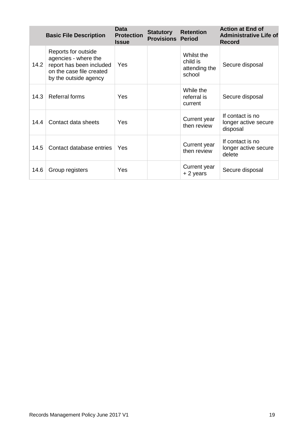|      | <b>Basic File Description</b>                                                                                                | <b>Data</b><br><b>Protection</b><br><b>Issue</b> | <b>Statutory</b><br><b>Provisions Period</b> | <b>Retention</b>                                  | <b>Action at End of</b><br><b>Administrative Life of</b><br><b>Record</b> |
|------|------------------------------------------------------------------------------------------------------------------------------|--------------------------------------------------|----------------------------------------------|---------------------------------------------------|---------------------------------------------------------------------------|
| 14.2 | Reports for outside<br>agencies - where the<br>report has been included<br>on the case file created<br>by the outside agency | Yes                                              |                                              | Whilst the<br>child is<br>attending the<br>school | Secure disposal                                                           |
| 14.3 | <b>Referral forms</b>                                                                                                        | Yes                                              |                                              | While the<br>referral is<br>current               | Secure disposal                                                           |
| 14.4 | Contact data sheets                                                                                                          | Yes                                              |                                              | Current year<br>then review                       | If contact is no<br>longer active secure<br>disposal                      |
| 14.5 | Contact database entries                                                                                                     | Yes                                              |                                              | Current year<br>then review                       | If contact is no<br>longer active secure<br>delete                        |
| 14.6 | Group registers                                                                                                              | Yes                                              |                                              | Current year<br>+ 2 years                         | Secure disposal                                                           |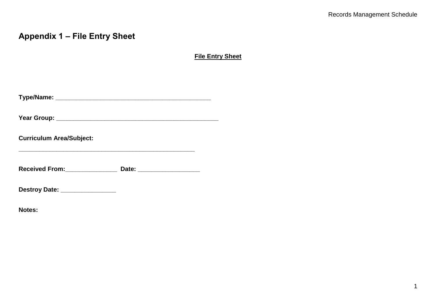# **Appendix 1 – File Entry Sheet**

**File Entry Sheet**

| <b>Curriculum Area/Subject:</b>         |  |
|-----------------------------------------|--|
| Received From: Necessary Received From: |  |
| Destroy Date: ________________          |  |

**Notes:**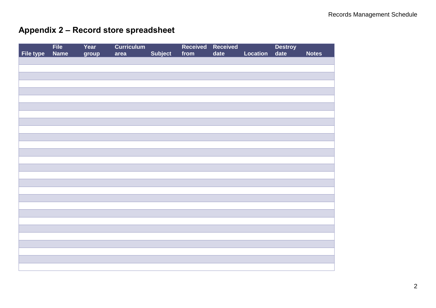# **Appendix 2 – Record store spreadsheet**

|           | File<br>Name | Year  | <b>Curriculum</b> |         | Received | Received |          | Destroy<br>date |              |
|-----------|--------------|-------|-------------------|---------|----------|----------|----------|-----------------|--------------|
| File type |              | group | area              | Subject | from     | date     | Location |                 | <b>Notes</b> |
|           |              |       |                   |         |          |          |          |                 |              |
|           |              |       |                   |         |          |          |          |                 |              |
|           |              |       |                   |         |          |          |          |                 |              |
|           |              |       |                   |         |          |          |          |                 |              |
|           |              |       |                   |         |          |          |          |                 |              |
|           |              |       |                   |         |          |          |          |                 |              |
|           |              |       |                   |         |          |          |          |                 |              |
|           |              |       |                   |         |          |          |          |                 |              |
|           |              |       |                   |         |          |          |          |                 |              |
|           |              |       |                   |         |          |          |          |                 |              |
|           |              |       |                   |         |          |          |          |                 |              |
|           |              |       |                   |         |          |          |          |                 |              |
|           |              |       |                   |         |          |          |          |                 |              |
|           |              |       |                   |         |          |          |          |                 |              |
|           |              |       |                   |         |          |          |          |                 |              |
|           |              |       |                   |         |          |          |          |                 |              |
|           |              |       |                   |         |          |          |          |                 |              |
|           |              |       |                   |         |          |          |          |                 |              |
|           |              |       |                   |         |          |          |          |                 |              |
|           |              |       |                   |         |          |          |          |                 |              |
|           |              |       |                   |         |          |          |          |                 |              |
|           |              |       |                   |         |          |          |          |                 |              |
|           |              |       |                   |         |          |          |          |                 |              |
|           |              |       |                   |         |          |          |          |                 |              |
|           |              |       |                   |         |          |          |          |                 |              |
|           |              |       |                   |         |          |          |          |                 |              |
|           |              |       |                   |         |          |          |          |                 |              |
|           |              |       |                   |         |          |          |          |                 |              |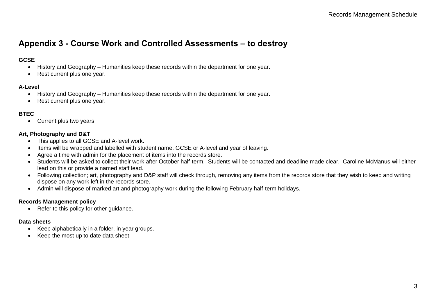# **Appendix 3 - Course Work and Controlled Assessments – to destroy**

# **GCSE**

- History and Geography Humanities keep these records within the department for one year.
- Rest current plus one year.

# **A-Level**

- History and Geography Humanities keep these records within the department for one year.
- Rest current plus one year.

# **BTEC**

• Current plus two years.

# **Art, Photography and D&T**

- This applies to all GCSE and A-level work.
- Items will be wrapped and labelled with student name, GCSE or A-level and year of leaving.
- Agree a time with admin for the placement of items into the records store.
- Students will be asked to collect their work after October half-term. Students will be contacted and deadline made clear. Caroline McManus will either lead on this or provide a named staff lead.
- Following collection; art, photography and D&P staff will check through, removing any items from the records store that they wish to keep and writing dispose on any work left in the records store.
- Admin will dispose of marked art and photography work during the following February half-term holidays.

# **Records Management policy**

• Refer to this policy for other quidance.

#### **Data sheets**

- Keep alphabetically in a folder, in year groups.
- Keep the most up to date data sheet.